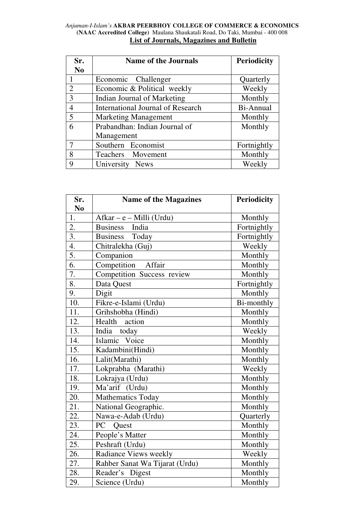## *Anjuman-I-Islam's* **AKBAR PEERBHOY COLLEGE OF COMMERCE & ECONOMICS (NAAC Accredited College)** Maulana Shaukatali Road, Do Taki, Mumbai - 400 008 **List of Journals, Magazines and Bulletin**

| Sr.            | <b>Name of the Journals</b>              | <b>Periodicity</b> |
|----------------|------------------------------------------|--------------------|
| N <sub>0</sub> |                                          |                    |
| 1              | Economic Challenger                      | Quarterly          |
| $\overline{2}$ | Economic & Political weekly              | Weekly             |
| 3              | Indian Journal of Marketing              | Monthly            |
| $\overline{4}$ | <b>International Journal of Research</b> | Bi-Annual          |
| 5              | <b>Marketing Management</b>              | Monthly            |
| 6              | Prabandhan: Indian Journal of            | Monthly            |
|                | Management                               |                    |
| 7              | Southern Economist                       | Fortnightly        |
| 8              | Teachers Movement                        | Monthly            |
| 9              | University News                          | Weekly             |

| Sr.              | <b>Name of the Magazines</b>   | <b>Periodicity</b> |
|------------------|--------------------------------|--------------------|
| N <sub>0</sub>   |                                |                    |
| 1.               | $Afkar - e - Milli (Urdu)$     | Monthly            |
| 2.               | <b>Business</b><br>India       | Fortnightly        |
| $\overline{3}$ . | Business Today                 | Fortnightly        |
| 4.               | Chitralekha (Guj)              | Weekly             |
| 5.               | Companion                      | Monthly            |
| 6.               | Competition<br>Affair          | Monthly            |
| 7.               | Competition Success review     | Monthly            |
| 8.               | Data Quest                     | Fortnightly        |
| 9.               | Digit                          | Monthly            |
| 10.              | Fikre-e-Islami (Urdu)          | Bi-monthly         |
| 11.              | Grihshobha (Hindi)             | Monthly            |
| 12.              | action<br>Health               | Monthly            |
| 13.              | India today                    | Weekly             |
| 14.              | Islamic Voice                  | Monthly            |
| 15.              | Kadambini(Hindi)               | Monthly            |
| 16.              | Lalit(Marathi)                 | Monthly            |
| 17.              | Lokprabha (Marathi)            | Weekly             |
| 18.              | Lokrajya (Urdu)                | Monthly            |
| 19.              | Ma'arif (Urdu)                 | Monthly            |
| 20.              | <b>Mathematics Today</b>       | Monthly            |
| 21.              | National Geographic.           | Monthly            |
| 22.              | Nawa-e-Adab (Urdu)             | Quarterly          |
| $23^{-}$         | PC<br><b>Quest</b>             | Monthly            |
| 24.              | People's Matter                | Monthly            |
| 25.              | Peshraft (Urdu)                | Monthly            |
| 26.              | Radiance Views weekly          | Weekly             |
| 27.              | Rahber Sanat Wa Tijarat (Urdu) | Monthly            |
| 28.              | Reader's Digest                | Monthly            |
| 29.              | Science (Urdu)                 | Monthly            |